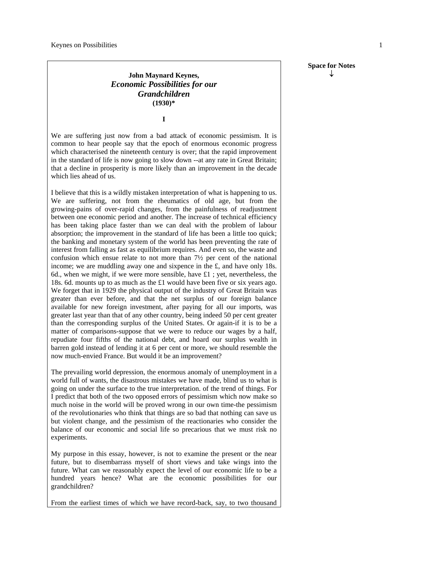**Space for Notes**  ↓

## **John Maynard Keynes,**  *Economic Possibilities for our Grandchildren* **(1930)\***

**I** 

We are suffering just now from a bad attack of economic pessimism. It is common to hear people say that the epoch of enormous economic progress which characterised the nineteenth century is over; that the rapid improvement in the standard of life is now going to slow down --at any rate in Great Britain; that a decline in prosperity is more likely than an improvement in the decade which lies ahead of us.

I believe that this is a wildly mistaken interpretation of what is happening to us. We are suffering, not from the rheumatics of old age, but from the growing-pains of over-rapid changes, from the painfulness of readjustment between one economic period and another. The increase of technical efficiency has been taking place faster than we can deal with the problem of labour absorption; the improvement in the standard of life has been a little too quick; the banking and monetary system of the world has been preventing the rate of interest from falling as fast as equilibrium requires. And even so, the waste and confusion which ensue relate to not more than 7½ per cent of the national income; we are muddling away one and sixpence in the £, and have only 18s. 6d., when we might, if we were more sensible, have £1 ; yet, nevertheless, the 18s. 6d. mounts up to as much as the £1 would have been five or six years ago. We forget that in 1929 the physical output of the industry of Great Britain was greater than ever before, and that the net surplus of our foreign balance available for new foreign investment, after paying for all our imports, was greater last year than that of any other country, being indeed 50 per cent greater than the corresponding surplus of the United States. Or again-if it is to be a matter of comparisons-suppose that we were to reduce our wages by a half, repudiate four fifths of the national debt, and hoard our surplus wealth in barren gold instead of lending it at 6 per cent or more, we should resemble the now much-envied France. But would it be an improvement?

The prevailing world depression, the enormous anomaly of unemployment in a world full of wants, the disastrous mistakes we have made, blind us to what is going on under the surface to the true interpretation. of the trend of things. For I predict that both of the two opposed errors of pessimism which now make so much noise in the world will be proved wrong in our own time-the pessimism of the revolutionaries who think that things are so bad that nothing can save us but violent change, and the pessimism of the reactionaries who consider the balance of our economic and social life so precarious that we must risk no experiments.

My purpose in this essay, however, is not to examine the present or the near future, but to disembarrass myself of short views and take wings into the future. What can we reasonably expect the level of our economic life to be a hundred years hence? What are the economic possibilities for our grandchildren?

From the earliest times of which we have record-back, say, to two thousand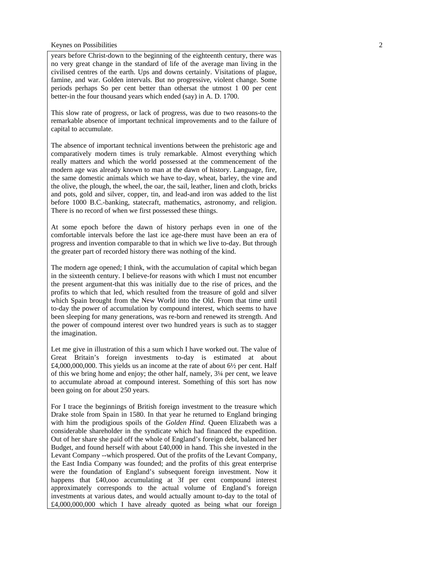years before Christ-down to the beginning of the eighteenth century, there was no very great change in the standard of life of the average man living in the civilised centres of the earth. Ups and downs certainly. Visitations of plague, famine, and war. Golden intervals. But no progressive, violent change. Some periods perhaps So per cent better than othersat the utmost 1 00 per cent better-in the four thousand years which ended (say) in A. D. 1700.

This slow rate of progress, or lack of progress, was due to two reasons-to the remarkable absence of important technical improvements and to the failure of capital to accumulate.

The absence of important technical inventions between the prehistoric age and comparatively modern times is truly remarkable. Almost everything which really matters and which the world possessed at the commencement of the modern age was already known to man at the dawn of history. Language, fire, the same domestic animals which we have to-day, wheat, barley, the vine and the olive, the plough, the wheel, the oar, the sail, leather, linen and cloth, bricks and pots, gold and silver, copper, tin, and lead-and iron was added to the list before 1000 B.C.-banking, statecraft, mathematics, astronomy, and religion. There is no record of when we first possessed these things.

At some epoch before the dawn of history perhaps even in one of the comfortable intervals before the last ice age-there must have been an era of progress and invention comparable to that in which we live to-day. But through the greater part of recorded history there was nothing of the kind.

The modern age opened; I think, with the accumulation of capital which began in the sixteenth century. I believe-for reasons with which I must not encumber the present argument-that this was initially due to the rise of prices, and the profits to which that led, which resulted from the treasure of gold and silver which Spain brought from the New World into the Old. From that time until to-day the power of accumulation by compound interest, which seems to have been sleeping for many generations, was re-born and renewed its strength. And the power of compound interest over two hundred years is such as to stagger the imagination.

Let me give in illustration of this a sum which I have worked out. The value of Great Britain's foreign investments to-day is estimated at about £4,000,000,000. This yields us an income at the rate of about 6½ per cent. Half of this we bring home and enjoy; the other half, namely, 3¼ per cent, we leave to accumulate abroad at compound interest. Something of this sort has now been going on for about 250 years.

For I trace the beginnings of British foreign investment to the treasure which Drake stole from Spain in 1580. In that year he returned to England bringing with him the prodigious spoils of the *Golden Hind.* Queen Elizabeth was a considerable shareholder in the syndicate which had financed the expedition. Out of her share she paid off the whole of England's foreign debt, balanced her Budget, and found herself with about £40,000 in hand. This she invested in the Levant Company --which prospered. Out of the profits of the Levant Company, the East India Company was founded; and the profits of this great enterprise were the foundation of England's subsequent foreign investment. Now it happens that £40,ooo accumulating at 3f per cent compound interest approximately corresponds to the actual volume of England's foreign investments at various dates, and would actually amount to-day to the total of £4,000,000,000 which I have already quoted as being what our foreign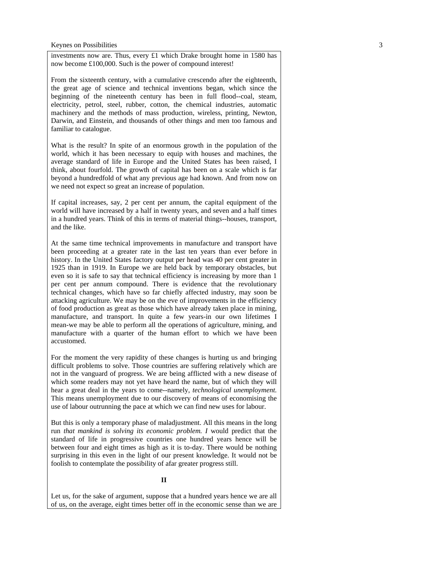investments now are. Thus, every £1 which Drake brought home in 1580 has now become £100,000. Such is the power of compound interest!

From the sixteenth century, with a cumulative crescendo after the eighteenth, the great age of science and technical inventions began, which since the beginning of the nineteenth century has been in full flood--coal, steam, electricity, petrol, steel, rubber, cotton, the chemical industries, automatic machinery and the methods of mass production, wireless, printing, Newton, Darwin, and Einstein, and thousands of other things and men too famous and familiar to catalogue.

What is the result? In spite of an enormous growth in the population of the world, which it has been necessary to equip with houses and machines, the average standard of life in Europe and the United States has been raised, I think, about fourfold. The growth of capital has been on a scale which is far beyond a hundredfold of what any previous age had known. And from now on we need not expect so great an increase of population.

If capital increases, say, 2 per cent per annum, the capital equipment of the world will have increased by a half in twenty years, and seven and a half times in a hundred years. Think of this in terms of material things--houses, transport, and the like.

At the same time technical improvements in manufacture and transport have been proceeding at a greater rate in the last ten years than ever before in history. In the United States factory output per head was 40 per cent greater in 1925 than in 1919. In Europe we are held back by temporary obstacles, but even so it is safe to say that technical efficiency is increasing by more than 1 per cent per annum compound. There is evidence that the revolutionary technical changes, which have so far chiefly affected industry, may soon be attacking agriculture. We may be on the eve of improvements in the efficiency of food production as great as those which have already taken place in mining, manufacture, and transport. In quite a few years-in our own lifetimes I mean-we may be able to perform all the operations of agriculture, mining, and manufacture with a quarter of the human effort to which we have been accustomed.

For the moment the very rapidity of these changes is hurting us and bringing difficult problems to solve. Those countries are suffering relatively which are not in the vanguard of progress. We are being afflicted with a new disease of which some readers may not yet have heard the name, but of which they will hear a great deal in the years to come--namely, *technological unemployment.*  This means unemployment due to our discovery of means of economising the use of labour outrunning the pace at which we can find new uses for labour.

But this is only a temporary phase of maladjustment. All this means in the long run *that mankind is solving its economic problem. I* would predict that the standard of life in progressive countries one hundred years hence will be between four and eight times as high as it is to-day. There would be nothing surprising in this even in the light of our present knowledge. It would not be foolish to contemplate the possibility of afar greater progress still.

## **II**

Let us, for the sake of argument, suppose that a hundred years hence we are all of us, on the average, eight times better off in the economic sense than we are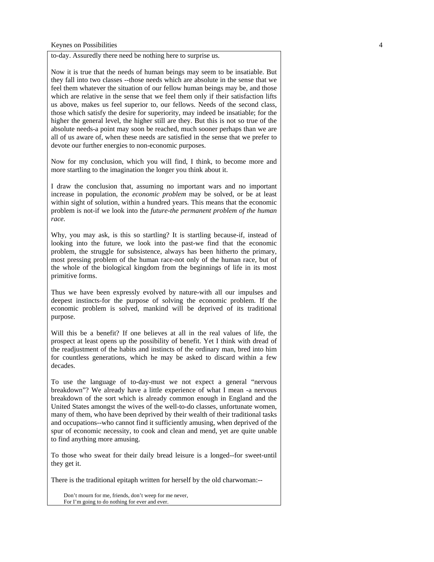to-day. Assuredly there need be nothing here to surprise us.

Now it is true that the needs of human beings may seem to be insatiable. But they fall into two classes --those needs which are absolute in the sense that we feel them whatever the situation of our fellow human beings may be, and those which are relative in the sense that we feel them only if their satisfaction lifts us above, makes us feel superior to, our fellows. Needs of the second class, those which satisfy the desire for superiority, may indeed be insatiable; for the higher the general level, the higher still are they. But this is not so true of the absolute needs-a point may soon be reached, much sooner perhaps than we are all of us aware of, when these needs are satisfied in the sense that we prefer to devote our further energies to non-economic purposes.

Now for my conclusion, which you will find, I think, to become more and more startling to the imagination the longer you think about it.

I draw the conclusion that, assuming no important wars and no important increase in population, the *economic problem* may be solved, or be at least within sight of solution, within a hundred years. This means that the economic problem is not-if we look into the *future-the permanent problem of the human race.* 

Why, you may ask, is this so startling? It is startling because-if, instead of looking into the future, we look into the past-we find that the economic problem, the struggle for subsistence, always has been hitherto the primary, most pressing problem of the human race-not only of the human race, but of the whole of the biological kingdom from the beginnings of life in its most primitive forms.

Thus we have been expressly evolved by nature-with all our impulses and deepest instincts-for the purpose of solving the economic problem. If the economic problem is solved, mankind will be deprived of its traditional purpose.

Will this be a benefit? If one believes at all in the real values of life, the prospect at least opens up the possibility of benefit. Yet I think with dread of the readjustment of the habits and instincts of the ordinary man, bred into him for countless generations, which he may be asked to discard within a few decades.

To use the language of to-day-must we not expect a general "nervous breakdown"? We already have a little experience of what I mean -a nervous breakdown of the sort which is already common enough in England and the United States amongst the wives of the well-to-do classes, unfortunate women, many of them, who have been deprived by their wealth of their traditional tasks and occupations--who cannot find it sufficiently amusing, when deprived of the spur of economic necessity, to cook and clean and mend, yet are quite unable to find anything more amusing.

To those who sweat for their daily bread leisure is a longed--for sweet-until they get it.

There is the traditional epitaph written for herself by the old charwoman:--

Don't mourn for me, friends, don't weep for me never, For I'm going to do nothing for ever and ever.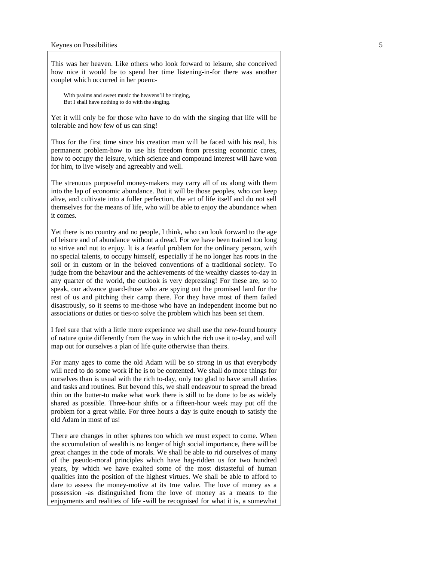This was her heaven. Like others who look forward to leisure, she conceived how nice it would be to spend her time listening-in-for there was another couplet which occurred in her poem:-

With psalms and sweet music the heavens'll be ringing, But I shall have nothing to do with the singing.

Yet it will only be for those who have to do with the singing that life will be tolerable and how few of us can sing!

Thus for the first time since his creation man will be faced with his real, his permanent problem-how to use his freedom from pressing economic cares, how to occupy the leisure, which science and compound interest will have won for him, to live wisely and agreeably and well.

The strenuous purposeful money-makers may carry all of us along with them into the lap of economic abundance. But it will be those peoples, who can keep alive, and cultivate into a fuller perfection, the art of life itself and do not sell themselves for the means of life, who will be able to enjoy the abundance when it comes.

Yet there is no country and no people, I think, who can look forward to the age of leisure and of abundance without a dread. For we have been trained too long to strive and not to enjoy. It is a fearful problem for the ordinary person, with no special talents, to occupy himself, especially if he no longer has roots in the soil or in custom or in the beloved conventions of a traditional society. To judge from the behaviour and the achievements of the wealthy classes to-day in any quarter of the world, the outlook is very depressing! For these are, so to speak, our advance guard-those who are spying out the promised land for the rest of us and pitching their camp there. For they have most of them failed disastrously, so it seems to me-those who have an independent income but no associations or duties or ties-to solve the problem which has been set them.

I feel sure that with a little more experience we shall use the new-found bounty of nature quite differently from the way in which the rich use it to-day, and will map out for ourselves a plan of life quite otherwise than theirs.

For many ages to come the old Adam will be so strong in us that everybody will need to do some work if he is to be contented. We shall do more things for ourselves than is usual with the rich to-day, only too glad to have small duties and tasks and routines. But beyond this, we shall endeavour to spread the bread thin on the butter-to make what work there is still to be done to be as widely shared as possible. Three-hour shifts or a fifteen-hour week may put off the problem for a great while. For three hours a day is quite enough to satisfy the old Adam in most of us!

There are changes in other spheres too which we must expect to come. When the accumulation of wealth is no longer of high social importance, there will be great changes in the code of morals. We shall be able to rid ourselves of many of the pseudo-moral principles which have hag-ridden us for two hundred years, by which we have exalted some of the most distasteful of human qualities into the position of the highest virtues. We shall be able to afford to dare to assess the money-motive at its true value. The love of money as a possession -as distinguished from the love of money as a means to the enjoyments and realities of life -will be recognised for what it is, a somewhat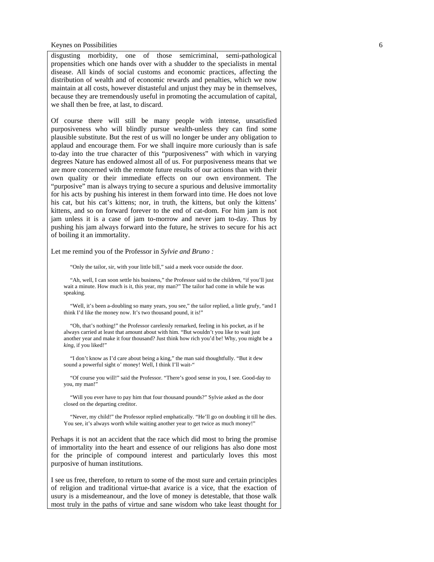disgusting morbidity, one of those semicriminal, semi-pathological propensities which one hands over with a shudder to the specialists in mental disease. All kinds of social customs and economic practices, affecting the distribution of wealth and of economic rewards and penalties, which we now maintain at all costs, however distasteful and unjust they may be in themselves, because they are tremendously useful in promoting the accumulation of capital, we shall then be free, at last, to discard.

Of course there will still be many people with intense, unsatisfied purposiveness who will blindly pursue wealth-unless they can find some plausible substitute. But the rest of us will no longer be under any obligation to applaud and encourage them. For we shall inquire more curiously than is safe to-day into the true character of this "purposiveness" with which in varying degrees Nature has endowed almost all of us. For purposiveness means that we are more concerned with the remote future results of our actions than with their own quality or their immediate effects on our own environment. The "purposive" man is always trying to secure a spurious and delusive immortality for his acts by pushing his interest in them forward into time. He does not love his cat, but his cat's kittens; nor, in truth, the kittens, but only the kittens' kittens, and so on forward forever to the end of cat-dom. For him jam is not jam unless it is a case of jam to-morrow and never jam to-day. Thus by pushing his jam always forward into the future, he strives to secure for his act of boiling it an immortality.

Let me remind you of the Professor in *Sylvie and Bruno :* 

"Only the tailor, sir, with your little bill," said a meek voce outside the door.

"Ah, well, I can soon settle his business," the Professor said to the children, "if you'll just wait a minute. How much is it, this year, my man?" The tailor had come in while he was speaking.

"Well, it's been a-doubling so many years, you see," the tailor replied, a little grufy, "and I think I'd like the money now. It's two thousand pound, it is!"

"Oh, that's nothing!" the Professor carelessly remarked, feeling in his pocket, as if he always carried at least that amount about with him. "But wouldn't you like to wait just another year and make it four thousand? Just think how rich you'd be! Why, you might be a *king,* if you liked!"

"I don't know as I'd care about being a king," the man said thoughtfully. "But it dew sound a powerful sight o' money! Well, I think I'll wait-"

"Of course you will!" said the Professor. "There's good sense in you, I see. Good-day to you, my man!"

"Will you ever have to pay him that four thousand pounds?" Sylvie asked as the door closed on the departing creditor.

"Never, my child!" the Professor replied emphatically. "He'll go on doubling it till he dies. You see, it's always worth while waiting another year to get twice as much money!"

Perhaps it is not an accident that the race which did most to bring the promise of immortality into the heart and essence of our religions has also done most for the principle of compound interest and particularly loves this most purposive of human institutions.

I see us free, therefore, to return to some of the most sure and certain principles of religion and traditional virtue-that avarice is a vice, that the exaction of usury is a misdemeanour, and the love of money is detestable, that those walk most truly in the paths of virtue and sane wisdom who take least thought for